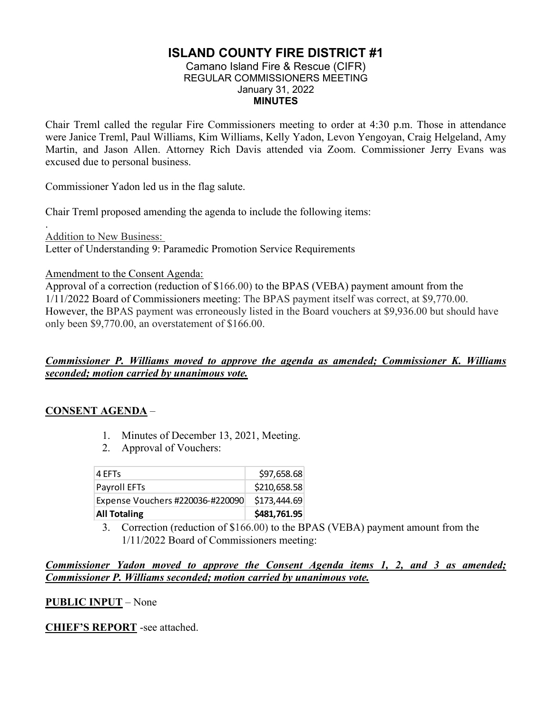# **ISLAND COUNTY FIRE DISTRICT #1**

#### Camano Island Fire & Rescue (CIFR) REGULAR COMMISSIONERS MEETING January 31, 2022 **MINUTES**

Chair Treml called the regular Fire Commissioners meeting to order at 4:30 p.m. Those in attendance were Janice Treml, Paul Williams, Kim Williams, Kelly Yadon, Levon Yengoyan, Craig Helgeland, Amy Martin, and Jason Allen. Attorney Rich Davis attended via Zoom. Commissioner Jerry Evans was excused due to personal business.

Commissioner Yadon led us in the flag salute.

Chair Treml proposed amending the agenda to include the following items:

. Addition to New Business: Letter of Understanding 9: Paramedic Promotion Service Requirements

Amendment to the Consent Agenda:

Approval of a correction (reduction of \$166.00) to the BPAS (VEBA) payment amount from the 1/11/2022 Board of Commissioners meeting: The BPAS payment itself was correct, at \$9,770.00. However, the BPAS payment was erroneously listed in the Board vouchers at \$9,936.00 but should have only been \$9,770.00, an overstatement of \$166.00.

### *Commissioner P. Williams moved to approve the agenda as amended; Commissioner K. Williams seconded; motion carried by unanimous vote.*

### **CONSENT AGENDA** –

- 1. Minutes of December 13, 2021, Meeting.
- 2. Approval of Vouchers:

| <b>All Totaling</b>              | \$481,761.95 |
|----------------------------------|--------------|
| Expense Vouchers #220036-#220090 | \$173,444.69 |
| Payroll EFTs                     | \$210,658.58 |
| 4 EFTs                           | \$97,658.68  |

3. Correction (reduction of \$166.00) to the BPAS (VEBA) payment amount from the 1/11/2022 Board of Commissioners meeting:

### *Commissioner Yadon moved to approve the Consent Agenda items 1, 2, and 3 as amended; Commissioner P. Williams seconded; motion carried by unanimous vote.*

### **PUBLIC INPUT** – None

**CHIEF'S REPORT** -see attached.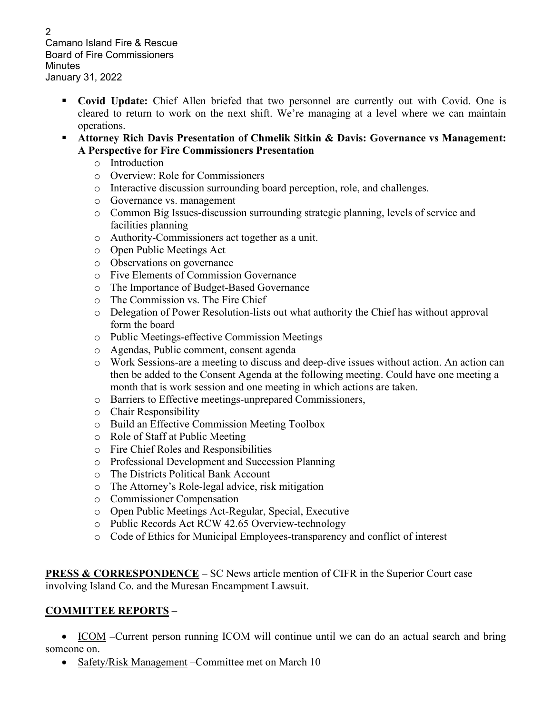Camano Island Fire & Rescue Board of Fire Commissioners Minutes January 31, 2022

- **Covid Update:** Chief Allen briefed that two personnel are currently out with Covid. One is cleared to return to work on the next shift. We're managing at a level where we can maintain operations.
- **Attorney Rich Davis Presentation of Chmelik Sitkin & Davis: Governance vs Management: A Perspective for Fire Commissioners Presentation**
	- o Introduction
	- o Overview: Role for Commissioners
	- o Interactive discussion surrounding board perception, role, and challenges.
	- o Governance vs. management
	- o Common Big Issues-discussion surrounding strategic planning, levels of service and facilities planning
	- o Authority-Commissioners act together as a unit.
	- o Open Public Meetings Act
	- o Observations on governance
	- o Five Elements of Commission Governance
	- o The Importance of Budget-Based Governance
	- o The Commission vs. The Fire Chief
	- o Delegation of Power Resolution-lists out what authority the Chief has without approval form the board
	- o Public Meetings-effective Commission Meetings
	- o Agendas, Public comment, consent agenda
	- o Work Sessions-are a meeting to discuss and deep-dive issues without action. An action can then be added to the Consent Agenda at the following meeting. Could have one meeting a month that is work session and one meeting in which actions are taken.
	- o Barriers to Effective meetings-unprepared Commissioners,
	- o Chair Responsibility
	- o Build an Effective Commission Meeting Toolbox
	- o Role of Staff at Public Meeting
	- o Fire Chief Roles and Responsibilities
	- o Professional Development and Succession Planning
	- o The Districts Political Bank Account
	- o The Attorney's Role-legal advice, risk mitigation
	- o Commissioner Compensation
	- o Open Public Meetings Act-Regular, Special, Executive
	- o Public Records Act RCW 42.65 Overview-technology
	- o Code of Ethics for Municipal Employees-transparency and conflict of interest

**PRESS & CORRESPONDENCE** – SC News article mention of CIFR in the Superior Court case involving Island Co. and the Muresan Encampment Lawsuit.

## **COMMITTEE REPORTS** –

• ICOM –Current person running ICOM will continue until we can do an actual search and bring someone on.

• Safety/Risk Management – Committee met on March 10

2